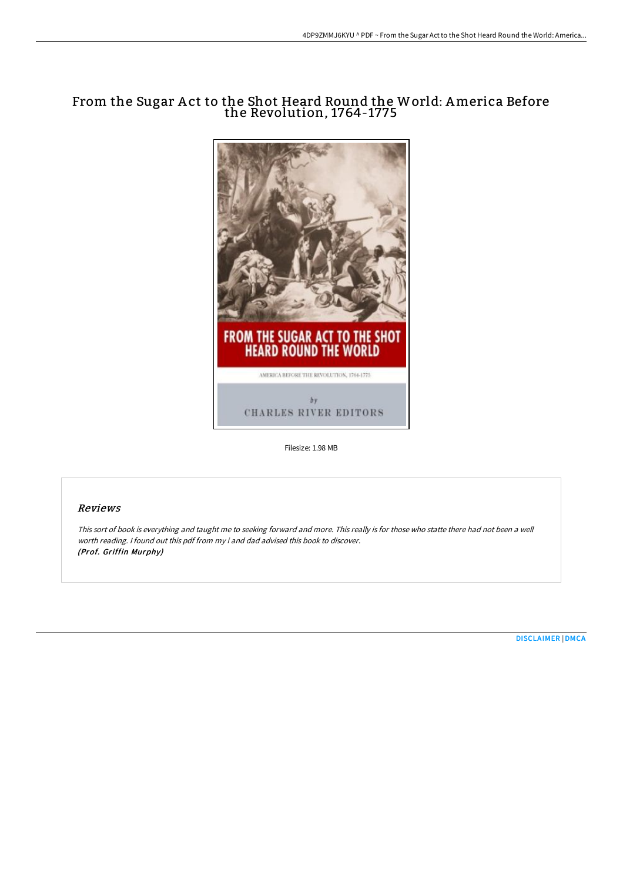# From the Sugar A ct to the Shot Heard Round the World: America Before the Revolution, 1764-1775



Filesize: 1.98 MB

## Reviews

This sort of book is everything and taught me to seeking forward and more. This really is for those who statte there had not been <sup>a</sup> well worth reading. <sup>I</sup> found out this pdf from my i and dad advised this book to discover. (Prof. Griffin Murphy)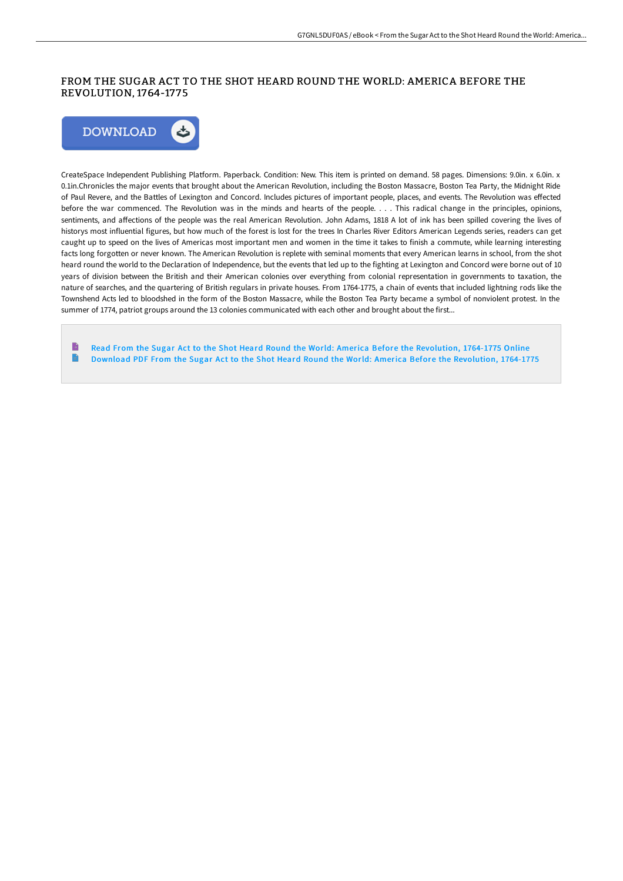## FROM THE SUGAR ACT TO THE SHOT HEARD ROUND THE WORLD: AMERICA BEFORE THE REVOLUTION, 1764-17 75



CreateSpace Independent Publishing Platform. Paperback. Condition: New. This item is printed on demand. 58 pages. Dimensions: 9.0in. x 6.0in. x 0.1in.Chronicles the major events that brought about the American Revolution, including the Boston Massacre, Boston Tea Party, the Midnight Ride of Paul Revere, and the Battles of Lexington and Concord. Includes pictures of important people, places, and events. The Revolution was effected before the war commenced. The Revolution was in the minds and hearts of the people. . . . This radical change in the principles, opinions, sentiments, and affections of the people was the real American Revolution. John Adams, 1818 A lot of ink has been spilled covering the lives of historys most influential figures, but how much of the forest is lost for the trees In Charles River Editors American Legends series, readers can get caught up to speed on the lives of Americas most important men and women in the time it takes to finish a commute, while learning interesting facts long forgotten or never known. The American Revolution is replete with seminal moments that every American learns in school, from the shot heard round the world to the Declaration of Independence, but the events that led up to the fighting at Lexington and Concord were borne out of 10 years of division between the British and their American colonies over everything from colonial representation in governments to taxation, the nature of searches, and the quartering of British regulars in private houses. From 1764-1775, a chain of events that included lightning rods like the Townshend Acts led to bloodshed in the form of the Boston Massacre, while the Boston Tea Party became a symbol of nonviolent protest. In the summer of 1774, patriot groups around the 13 colonies communicated with each other and brought about the first...

Read From the Sugar Act to the Shot Heard Round the World: America Before the [Revolution,](http://techno-pub.tech/from-the-sugar-act-to-the-shot-heard-round-the-w.html) 1764-1775 Online  $\blacksquare$ Download PDF From the Sugar Act to the Shot Heard Round the World: America Before the [Revolution,](http://techno-pub.tech/from-the-sugar-act-to-the-shot-heard-round-the-w.html) 1764-1775